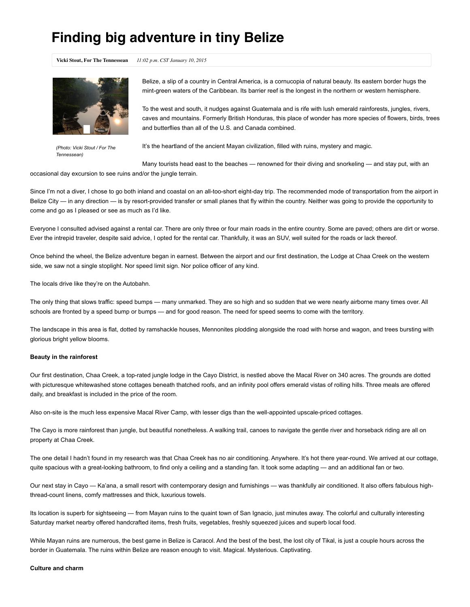# **Finding big adventure in tiny Belize**

**Vicki Stout, For The Tennessean** *11:02 p.m. CST January 10, 2015*



*(Photo: Vicki Stout / For The Tennessean)*

Belize, a slip of a country in Central America, is a cornucopia of natural beauty. Its eastern border hugs the mint-green waters of the Caribbean. Its barrier reef is the longest in the northern or western hemisphere.

To the west and south, it nudges against Guatemala and is rife with lush emerald rainforests, jungles, rivers, caves and mountains. Formerly British Honduras, this place of wonder has more species of flowers, birds, trees and butterflies than all of the U.S. and Canada combined.

It's the heartland of the ancient Mayan civilization, filled with ruins, mystery and magic.

Many tourists head east to the beaches — renowned for their diving and snorkeling — and stay put, with an

occasional day excursion to see ruins and/or the jungle terrain.

Since I'm not a diver, I chose to go both inland and coastal on an all-too-short eight-day trip. The recommended mode of transportation from the airport in Belize City — in any direction — is by resort-provided transfer or small planes that fly within the country. Neither was going to provide the opportunity to come and go as I pleased or see as much as I'd like.

Everyone I consulted advised against a rental car. There are only three or four main roads in the entire country. Some are paved; others are dirt or worse. Ever the intrepid traveler, despite said advice, I opted for the rental car. Thankfully, it was an SUV, well suited for the roads or lack thereof.

Once behind the wheel, the Belize adventure began in earnest. Between the airport and our first destination, the Lodge at Chaa Creek on the western side, we saw not a single stoplight. Nor speed limit sign. Nor police officer of any kind.

The locals drive like they're on the Autobahn.

The only thing that slows traffic: speed bumps — many unmarked. They are so high and so sudden that we were nearly airborne many times over. All schools are fronted by a speed bump or bumps — and for good reason. The need for speed seems to come with the territory.

The landscape in this area is flat, dotted by ramshackle houses, Mennonites plodding alongside the road with horse and wagon, and trees bursting with glorious bright yellow blooms.

## **Beauty in the rainforest**

Our first destination, Chaa Creek, a top-rated jungle lodge in the Cayo District, is nestled above the Macal River on 340 acres. The grounds are dotted with picturesque whitewashed stone cottages beneath thatched roofs, and an infinity pool offers emerald vistas of rolling hills. Three meals are offered daily, and breakfast is included in the price of the room.

Also on-site is the much less expensive Macal River Camp, with lesser digs than the well-appointed upscale-priced cottages.

The Cayo is more rainforest than jungle, but beautiful nonetheless. A walking trail, canoes to navigate the gentle river and horseback riding are all on property at Chaa Creek.

The one detail I hadn't found in my research was that Chaa Creek has no air conditioning. Anywhere. It's hot there year-round. We arrived at our cottage, quite spacious with a great-looking bathroom, to find only a ceiling and a standing fan. It took some adapting — and an additional fan or two.

Our next stay in Cayo — Ka'ana, a small resort with contemporary design and furnishings — was thankfully air conditioned. It also offers fabulous highthread-count linens, comfy mattresses and thick, luxurious towels.

Its location is superb for sightseeing — from Mayan ruins to the quaint town of San Ignacio, just minutes away. The colorful and culturally interesting Saturday market nearby offered handcrafted items, fresh fruits, vegetables, freshly squeezed juices and superb local food.

While Mayan ruins are numerous, the best game in Belize is Caracol. And the best of the best, the lost city of Tikal, is just a couple hours across the border in Guatemala. The ruins within Belize are reason enough to visit. Magical. Mysterious. Captivating.

# **Culture and charm**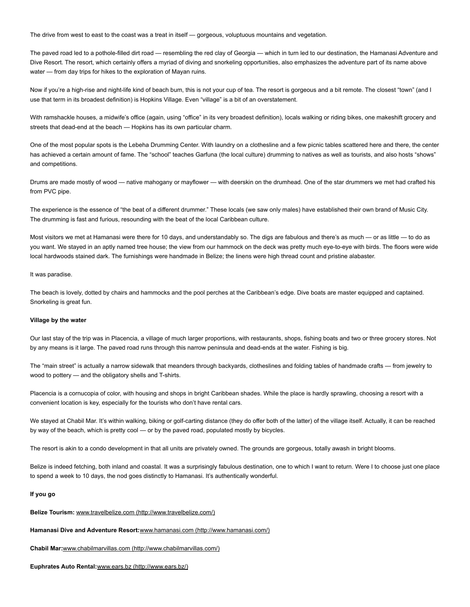The drive from west to east to the coast was a treat in itself — gorgeous, voluptuous mountains and vegetation.

The paved road led to a pothole-filled dirt road — resembling the red clay of Georgia — which in turn led to our destination, the Hamanasi Adventure and Dive Resort. The resort, which certainly offers a myriad of diving and snorkeling opportunities, also emphasizes the adventure part of its name above water — from day trips for hikes to the exploration of Mayan ruins.

Now if you're a high-rise and night-life kind of beach bum, this is not your cup of tea. The resort is gorgeous and a bit remote. The closest "town" (and I use that term in its broadest definition) is Hopkins Village. Even "village" is a bit of an overstatement.

With ramshackle houses, a midwife's office (again, using "office" in its very broadest definition), locals walking or riding bikes, one makeshift grocery and streets that dead-end at the beach - Hopkins has its own particular charm.

One of the most popular spots is the Lebeha Drumming Center. With laundry on a clothesline and a few picnic tables scattered here and there, the center has achieved a certain amount of fame. The "school" teaches Garfuna (the local culture) drumming to natives as well as tourists, and also hosts "shows" and competitions.

Drums are made mostly of wood — native mahogany or mayflower — with deerskin on the drumhead. One of the star drummers we met had crafted his from PVC pipe.

The experience is the essence of "the beat of a different drummer." These locals (we saw only males) have established their own brand of Music City. The drumming is fast and furious, resounding with the beat of the local Caribbean culture.

Most visitors we met at Hamanasi were there for 10 days, and understandably so. The digs are fabulous and there's as much — or as little — to do as you want. We stayed in an aptly named tree house; the view from our hammock on the deck was pretty much eye-to-eye with birds. The floors were wide local hardwoods stained dark. The furnishings were handmade in Belize; the linens were high thread count and pristine alabaster.

#### It was paradise.

The beach is lovely, dotted by chairs and hammocks and the pool perches at the Caribbean's edge. Dive boats are master equipped and captained. Snorkeling is great fun.

# **Village by the water**

Our last stay of the trip was in Placencia, a village of much larger proportions, with restaurants, shops, fishing boats and two or three grocery stores. Not by any means is it large. The paved road runs through this narrow peninsula and dead-ends at the water. Fishing is big.

The "main street" is actually a narrow sidewalk that meanders through backyards, clotheslines and folding tables of handmade crafts — from jewelry to wood to pottery - and the obligatory shells and T-shirts.

Placencia is a cornucopia of color, with housing and shops in bright Caribbean shades. While the place is hardly sprawling, choosing a resort with a convenient location is key, especially for the tourists who don't have rental cars.

We stayed at Chabil Mar. It's within walking, biking or golf-carting distance (they do offer both of the latter) of the village itself. Actually, it can be reached by way of the beach, which is pretty cool — or by the paved road, populated mostly by bicycles.

The resort is akin to a condo development in that all units are privately owned. The grounds are gorgeous, totally awash in bright blooms.

Belize is indeed fetching, both inland and coastal. It was a surprisingly fabulous destination, one to which I want to return. Were I to choose just one place to spend a week to 10 days, the nod goes distinctly to Hamanasi. It's authentically wonderful.

# **If you go**

# **Belize Tourism:** www.travelbelize.com [\(http://www.travelbelize.com/\)](http://www.travelbelize.com/)

**Hamanasi Dive and Adventure Resort:**www.hamanasi.com [\(http://www.hamanasi.com/\)](http://www.hamanasi.com/)

**Chabil Mar:**www.chabilmarvillas.com [\(http://www.chabilmarvillas.com/\)](http://www.chabilmarvillas.com/)

**Euphrates Auto Rental:**www.ears.bz [\(http://www.ears.bz/\)](http://www.ears.bz/)